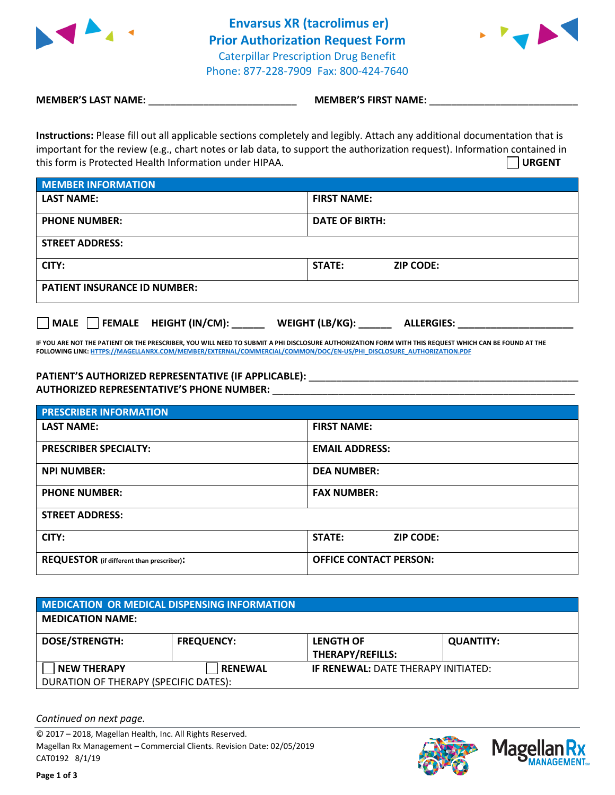



**MEMBER'S LAST NAME:**  $\blacksquare$  **MEMBER'S FIRST NAME:**  $\blacksquare$ 

**Instructions:** Please fill out all applicable sections completely and legibly. Attach any additional documentation that is important for the review (e.g., chart notes or lab data, to support the authorization request). Information contained in this form is Protected Health Information under HIPAA. **URGENT**

| <b>MEMBER INFORMATION</b>           |                            |  |
|-------------------------------------|----------------------------|--|
| <b>LAST NAME:</b>                   | <b>FIRST NAME:</b>         |  |
| <b>PHONE NUMBER:</b>                | <b>DATE OF BIRTH:</b>      |  |
| <b>STREET ADDRESS:</b>              |                            |  |
| CITY:                               | STATE:<br><b>ZIP CODE:</b> |  |
| <b>PATIENT INSURANCE ID NUMBER:</b> |                            |  |

**MALE FEMALE HEIGHT (IN/CM): \_\_\_\_\_\_ WEIGHT (LB/KG): \_\_\_\_\_\_ ALLERGIES: \_\_\_\_\_\_\_\_\_\_\_\_\_\_\_\_\_\_\_\_\_**

**IF YOU ARE NOT THE PATIENT OR THE PRESCRIBER, YOU WILL NEED TO SUBMIT A PHI DISCLOSURE AUTHORIZATION FORM WITH THIS REQUEST WHICH CAN BE FOUND AT THE FOLLOWING LINK[: HTTPS://MAGELLANRX.COM/MEMBER/EXTERNAL/COMMERCIAL/COMMON/DOC/EN-US/PHI\\_DISCLOSURE\\_AUTHORIZATION.PDF](https://magellanrx.com/member/external/commercial/common/doc/en-us/PHI_Disclosure_Authorization.pdf)**

## **PATIENT'S AUTHORIZED REPRESENTATIVE (IF APPLICABLE):** \_\_\_\_\_\_\_\_\_\_\_\_\_\_\_\_\_\_\_\_\_\_\_\_\_\_\_\_\_\_\_\_\_\_\_\_\_\_\_\_\_\_\_\_\_\_\_\_\_ **AUTHORIZED REPRESENTATIVE'S PHONE NUMBER:** \_\_\_\_\_\_\_\_\_\_\_\_\_\_\_\_\_\_\_\_\_\_\_\_\_\_\_\_\_\_\_\_\_\_\_\_\_\_\_\_\_\_\_\_\_\_\_\_\_\_\_\_\_\_\_

| <b>PRESCRIBER INFORMATION</b>                    |                                   |  |
|--------------------------------------------------|-----------------------------------|--|
| <b>LAST NAME:</b>                                | <b>FIRST NAME:</b>                |  |
| <b>PRESCRIBER SPECIALTY:</b>                     | <b>EMAIL ADDRESS:</b>             |  |
| <b>NPI NUMBER:</b>                               | <b>DEA NUMBER:</b>                |  |
| <b>PHONE NUMBER:</b>                             | <b>FAX NUMBER:</b>                |  |
| <b>STREET ADDRESS:</b>                           |                                   |  |
| CITY:                                            | <b>STATE:</b><br><b>ZIP CODE:</b> |  |
| <b>REQUESTOR</b> (if different than prescriber): | <b>OFFICE CONTACT PERSON:</b>     |  |

| MEDICATION OR MEDICAL DISPENSING INFORMATION                |                   |                                             |                  |  |  |
|-------------------------------------------------------------|-------------------|---------------------------------------------|------------------|--|--|
| <b>MEDICATION NAME:</b>                                     |                   |                                             |                  |  |  |
| <b>DOSE/STRENGTH:</b>                                       | <b>FREQUENCY:</b> | <b>LENGTH OF</b><br><b>THERAPY/REFILLS:</b> | <b>QUANTITY:</b> |  |  |
| <b>NEW THERAPY</b><br>DURATION OF THERAPY (SPECIFIC DATES): | <b>RENEWAL</b>    | <b>IF RENEWAL: DATE THERAPY INITIATED:</b>  |                  |  |  |

*Continued on next page.*

© 2017 – 2018, Magellan Health, Inc. All Rights Reserved. Magellan Rx Management – Commercial Clients. Revision Date: 02/05/2019 CAT0192 8/1/19



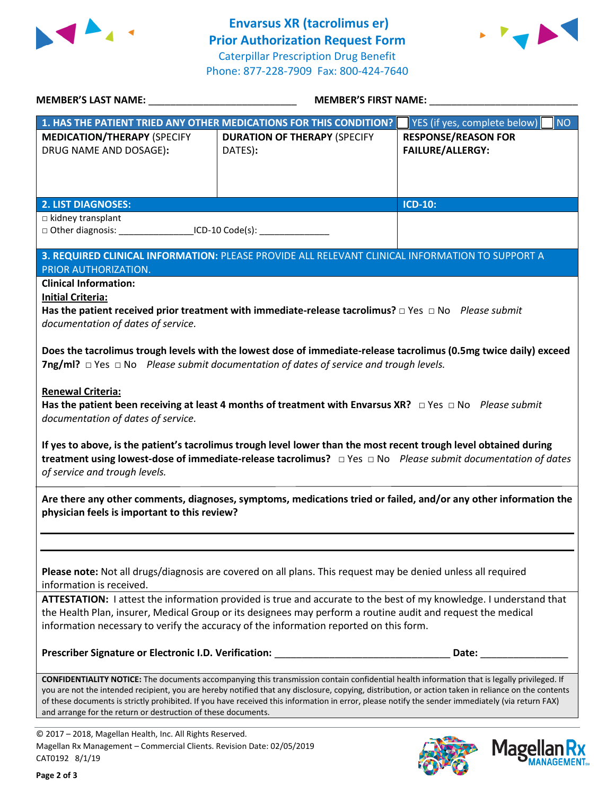



| MEMBER'S LAST NAME: NAME:                                                                                                                                                                                         | <b>MEMBER'S FIRST NAME:</b>                                                                                                                                                                                                 |                                                                                                                |  |  |
|-------------------------------------------------------------------------------------------------------------------------------------------------------------------------------------------------------------------|-----------------------------------------------------------------------------------------------------------------------------------------------------------------------------------------------------------------------------|----------------------------------------------------------------------------------------------------------------|--|--|
|                                                                                                                                                                                                                   | 1. HAS THE PATIENT TRIED ANY OTHER MEDICATIONS FOR THIS CONDITION?                                                                                                                                                          | YES (if yes, complete below)<br><b>NO</b>                                                                      |  |  |
| <b>MEDICATION/THERAPY (SPECIFY</b>                                                                                                                                                                                | <b>DURATION OF THERAPY (SPECIFY</b>                                                                                                                                                                                         | <b>RESPONSE/REASON FOR</b>                                                                                     |  |  |
| DRUG NAME AND DOSAGE):                                                                                                                                                                                            | DATES):                                                                                                                                                                                                                     | <b>FAILURE/ALLERGY:</b>                                                                                        |  |  |
|                                                                                                                                                                                                                   |                                                                                                                                                                                                                             |                                                                                                                |  |  |
|                                                                                                                                                                                                                   |                                                                                                                                                                                                                             |                                                                                                                |  |  |
|                                                                                                                                                                                                                   |                                                                                                                                                                                                                             |                                                                                                                |  |  |
| <b>2. LIST DIAGNOSES:</b>                                                                                                                                                                                         |                                                                                                                                                                                                                             | <b>ICD-10:</b>                                                                                                 |  |  |
| $\Box$ kidney transplant                                                                                                                                                                                          |                                                                                                                                                                                                                             |                                                                                                                |  |  |
| □ Other diagnosis: ______________________ICD-10 Code(s): ______________________                                                                                                                                   |                                                                                                                                                                                                                             |                                                                                                                |  |  |
|                                                                                                                                                                                                                   |                                                                                                                                                                                                                             |                                                                                                                |  |  |
|                                                                                                                                                                                                                   | 3. REQUIRED CLINICAL INFORMATION: PLEASE PROVIDE ALL RELEVANT CLINICAL INFORMATION TO SUPPORT A                                                                                                                             |                                                                                                                |  |  |
| PRIOR AUTHORIZATION.                                                                                                                                                                                              |                                                                                                                                                                                                                             |                                                                                                                |  |  |
| <b>Clinical Information:</b>                                                                                                                                                                                      |                                                                                                                                                                                                                             |                                                                                                                |  |  |
| <b>Initial Criteria:</b>                                                                                                                                                                                          |                                                                                                                                                                                                                             |                                                                                                                |  |  |
|                                                                                                                                                                                                                   | Has the patient received prior treatment with immediate-release tacrolimus? $\Box$ Yes $\Box$ No Please submit                                                                                                              |                                                                                                                |  |  |
| documentation of dates of service.                                                                                                                                                                                |                                                                                                                                                                                                                             |                                                                                                                |  |  |
|                                                                                                                                                                                                                   |                                                                                                                                                                                                                             |                                                                                                                |  |  |
|                                                                                                                                                                                                                   | Does the tacrolimus trough levels with the lowest dose of immediate-release tacrolimus (0.5mg twice daily) exceed<br><b>7ng/ml?</b> $\Box$ Yes $\Box$ No Please submit documentation of dates of service and trough levels. |                                                                                                                |  |  |
|                                                                                                                                                                                                                   |                                                                                                                                                                                                                             |                                                                                                                |  |  |
| <b>Renewal Criteria:</b>                                                                                                                                                                                          |                                                                                                                                                                                                                             |                                                                                                                |  |  |
|                                                                                                                                                                                                                   | Has the patient been receiving at least 4 months of treatment with Envarsus XR? $\Box$ Yes $\Box$ No Please submit                                                                                                          |                                                                                                                |  |  |
| documentation of dates of service.                                                                                                                                                                                |                                                                                                                                                                                                                             |                                                                                                                |  |  |
|                                                                                                                                                                                                                   |                                                                                                                                                                                                                             |                                                                                                                |  |  |
|                                                                                                                                                                                                                   | If yes to above, is the patient's tacrolimus trough level lower than the most recent trough level obtained during                                                                                                           |                                                                                                                |  |  |
|                                                                                                                                                                                                                   | treatment using lowest-dose of immediate-release tacrolimus? □ Yes □ No Please submit documentation of dates                                                                                                                |                                                                                                                |  |  |
| of service and trough levels.                                                                                                                                                                                     |                                                                                                                                                                                                                             |                                                                                                                |  |  |
|                                                                                                                                                                                                                   |                                                                                                                                                                                                                             |                                                                                                                |  |  |
|                                                                                                                                                                                                                   | Are there any other comments, diagnoses, symptoms, medications tried or failed, and/or any other information the                                                                                                            |                                                                                                                |  |  |
| physician feels is important to this review?                                                                                                                                                                      |                                                                                                                                                                                                                             |                                                                                                                |  |  |
|                                                                                                                                                                                                                   |                                                                                                                                                                                                                             |                                                                                                                |  |  |
|                                                                                                                                                                                                                   |                                                                                                                                                                                                                             |                                                                                                                |  |  |
|                                                                                                                                                                                                                   |                                                                                                                                                                                                                             |                                                                                                                |  |  |
|                                                                                                                                                                                                                   | Please note: Not all drugs/diagnosis are covered on all plans. This request may be denied unless all required                                                                                                               |                                                                                                                |  |  |
| information is received.                                                                                                                                                                                          |                                                                                                                                                                                                                             |                                                                                                                |  |  |
| ATTESTATION: I attest the information provided is true and accurate to the best of my knowledge. I understand that                                                                                                |                                                                                                                                                                                                                             |                                                                                                                |  |  |
| the Health Plan, insurer, Medical Group or its designees may perform a routine audit and request the medical                                                                                                      |                                                                                                                                                                                                                             |                                                                                                                |  |  |
| information necessary to verify the accuracy of the information reported on this form.                                                                                                                            |                                                                                                                                                                                                                             |                                                                                                                |  |  |
|                                                                                                                                                                                                                   |                                                                                                                                                                                                                             |                                                                                                                |  |  |
|                                                                                                                                                                                                                   | Prescriber Signature or Electronic I.D. Verification: ___________________________                                                                                                                                           | Date: and the state of the state of the state of the state of the state of the state of the state of the state |  |  |
|                                                                                                                                                                                                                   |                                                                                                                                                                                                                             |                                                                                                                |  |  |
|                                                                                                                                                                                                                   | <b>CONFIDENTIALITY NOTICE:</b> The documents accompanying this transmission contain confidential health information that is legally privileged. If                                                                          |                                                                                                                |  |  |
| you are not the intended recipient, you are hereby notified that any disclosure, copying, distribution, or action taken in reliance on the contents                                                               |                                                                                                                                                                                                                             |                                                                                                                |  |  |
| of these documents is strictly prohibited. If you have received this information in error, please notify the sender immediately (via return FAX)<br>and arrange for the return or destruction of these documents. |                                                                                                                                                                                                                             |                                                                                                                |  |  |
|                                                                                                                                                                                                                   |                                                                                                                                                                                                                             |                                                                                                                |  |  |

© 2017 – 2018, Magellan Health, Inc. All Rights Reserved. Magellan Rx Management – Commercial Clients. Revision Date: 02/05/2019 CAT0192 8/1/19

**Page 2 of 3**



**Magellar** 

**Ilan Rx<br>ANAGEMENT**